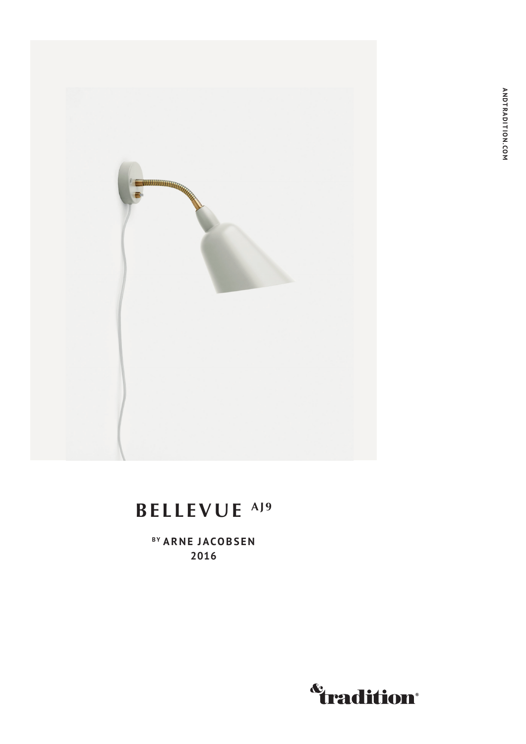

## BELLEVUE<sup>AJ9</sup>

<sup>BY</sup> ARNE JACOBSEN 2016

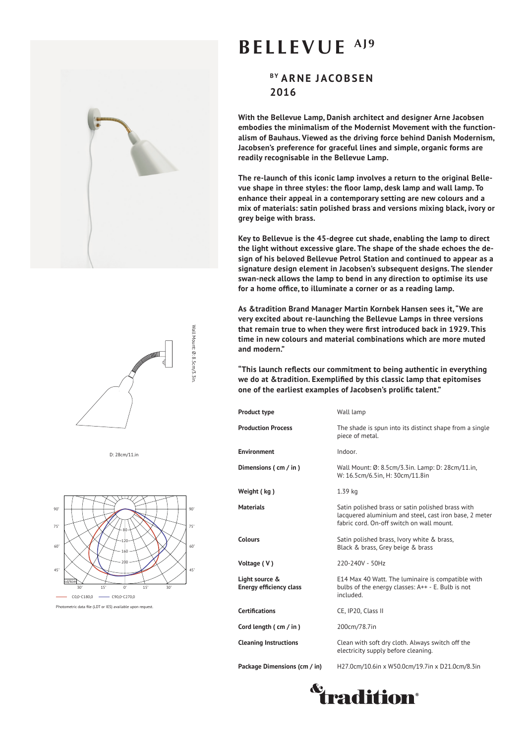



D: 28cm/11.in



## **BELLEVUE AJ9**

**BY ARNE JACOBSEN 2016**

**With the Bellevue Lamp, Danish architect and designer Arne Jacobsen embodies the minimalism of the Modernist Movement with the functionalism of Bauhaus. Viewed as the driving force behind Danish Modernism, Jacobsen's preference for graceful lines and simple, organic forms are readily recognisable in the Bellevue Lamp.** 

**The re-launch of this iconic lamp involves a return to the original Bellevue shape in three styles: the floor lamp, desk lamp and wall lamp. To enhance their appeal in a contemporary setting are new colours and a mix of materials: satin polished brass and versions mixing black, ivory or grey beige with brass.**

**Key to Bellevue is the 45-degree cut shade, enabling the lamp to direct the light without excessive glare. The shape of the shade echoes the design of his beloved Bellevue Petrol Station and continued to appear as a signature design element in Jacobsen's subsequent designs. The slender swan-neck allows the lamp to bend in any direction to optimise its use for a home office, to illuminate a corner or as a reading lamp.** 

**As &tradition Brand Manager Martin Kornbek Hansen sees it, "We are very excited about re-launching the Bellevue Lamps in three versions that remain true to when they were first introduced back in 1929. This time in new colours and material combinations which are more muted and modern."** 

**"This launch reflects our commitment to being authentic in everything we do at &tradition. Exemplified by this classic lamp that epitomises one of the earliest examples of Jacobsen's prolific talent."**

| <b>Product type</b>                              | Wall lamp                                                                                                                                                |
|--------------------------------------------------|----------------------------------------------------------------------------------------------------------------------------------------------------------|
| <b>Production Process</b>                        | The shade is spun into its distinct shape from a single<br>piece of metal.                                                                               |
| <b>Environment</b>                               | Indoor.                                                                                                                                                  |
| Dimensions (cm / in)                             | Wall Mount: Ø: 8.5cm/3.3in. Lamp: D: 28cm/11.in,<br>W: 16.5cm/6.5in, H: 30cm/11.8in                                                                      |
| Weight (kg)                                      | 1.39 kg                                                                                                                                                  |
| <b>Materials</b>                                 | Satin polished brass or satin polished brass with<br>lacquered aluminium and steel, cast iron base, 2 meter<br>fabric cord. On-off switch on wall mount. |
| <b>Colours</b>                                   | Satin polished brass, Ivory white & brass,<br>Black & brass, Grey beige & brass                                                                          |
| Voltage (V)                                      | 220-240V - 50Hz                                                                                                                                          |
| Light source &<br><b>Energy efficiency class</b> | E14 Max 40 Watt. The luminaire is compatible with<br>bulbs of the energy classes: A++ - E. Bulb is not<br>included.                                      |
| <b>Certifications</b>                            | CE, IP20, Class II                                                                                                                                       |
| Cord length (cm / in)                            | 200cm/78.7in                                                                                                                                             |
| <b>Cleaning Instructions</b>                     | Clean with soft dry cloth. Always switch off the<br>electricity supply before cleaning.                                                                  |
| Package Dimensions (cm / in)                     | H27.0cm/10.6in x W50.0cm/19.7in x D21.0cm/8.3in                                                                                                          |